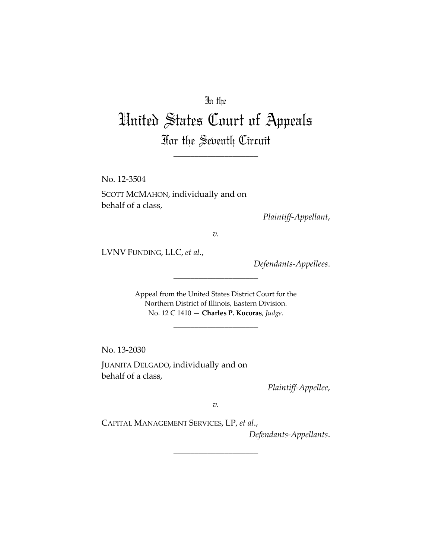## In the

# United States Court of Appeals For the Seventh Circuit

\_\_\_\_\_\_\_\_\_\_\_\_\_\_\_\_\_\_\_\_

No. 12‐3504 SCOTT MCMAHON, individually and on behalf of a class,

*Plaintiff‐Appellant*,

*v.*

LVNV FUNDING, LLC, *et al.*,

*Defendants‐Appellees*.

Appeal from the United States District Court for the Northern District of Illinois, Eastern Division. No. 12 C 1410 — **Charles P. Kocoras**, *Judge*.

\_\_\_\_\_\_\_\_\_\_\_\_\_\_\_\_\_\_\_\_

\_\_\_\_\_\_\_\_\_\_\_\_\_\_\_\_\_\_\_\_

No. 13‐2030

JUANITA DELGADO, individually and on behalf of a class,

*Plaintiff‐Appellee*,

*v.*

\_\_\_\_\_\_\_\_\_\_\_\_\_\_\_\_\_\_\_\_

CAPITAL MANAGEMENT SERVICES, LP, *et al*.,

*Defendants‐Appellants*.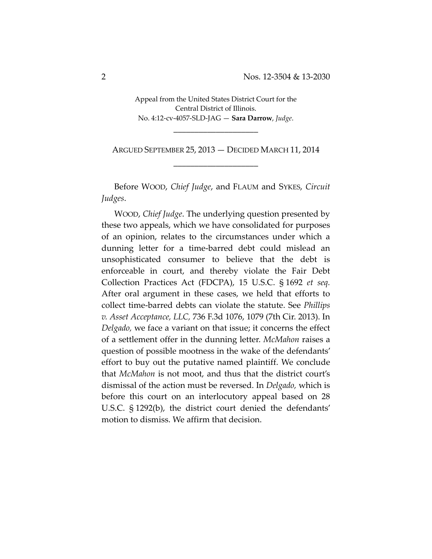Appeal from the United States District Court for the Central District of Illinois. No. 4:12‐cv‐4057‐SLD‐JAG — **Sara Darrow**, *Judge*.

\_\_\_\_\_\_\_\_\_\_\_\_\_\_\_\_\_\_\_\_

ARGUED SEPTEMBER 25, 2013 — DECIDED MARCH 11, 2014 \_\_\_\_\_\_\_\_\_\_\_\_\_\_\_\_\_\_\_\_

Before WOOD, *Chief Judge*, and FLAUM and SYKES, *Circuit Judges*.

WOOD, *Chief Judge*. The underlying question presented by these two appeals, which we have consolidated for purposes of an opinion, relates to the circumstances under which a dunning letter for a time‐barred debt could mislead an unsophisticated consumer to believe that the debt is enforceable in court, and thereby violate the Fair Debt Collection Practices Act (FDCPA), 15 U.S.C. § 1692 *et seq.* After oral argument in these cases, we held that efforts to collect time‐barred debts can violate the statute. See *Phillips v. Asset Acceptance, LLC,* 736 F.3d 1076, 1079 (7th Cir. 2013). In *Delgado,* we face a variant on that issue; it concerns the effect of a settlement offer in the dunning letter. *McMahon* raises a question of possible mootness in the wake of the defendants' effort to buy out the putative named plaintiff. We conclude that *McMahon* is not moot, and thus that the district court's dismissal of the action must be reversed. In *Delgado,* which is before this court on an interlocutory appeal based on 28 U.S.C. § 1292(b), the district court denied the defendants' motion to dismiss. We affirm that decision.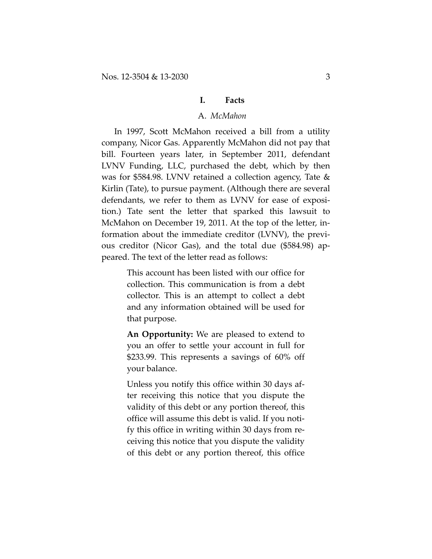#### **I. Facts**

#### A. *McMahon*

In 1997, Scott McMahon received a bill from a utility company, Nicor Gas. Apparently McMahon did not pay that bill. Fourteen years later, in September 2011, defendant LVNV Funding, LLC, purchased the debt, which by then was for \$584.98. LVNV retained a collection agency, Tate & Kirlin (Tate), to pursue payment. (Although there are several defendants, we refer to them as LVNV for ease of exposi‐ tion.) Tate sent the letter that sparked this lawsuit to McMahon on December 19, 2011. At the top of the letter, in‐ formation about the immediate creditor (LVNV), the previ‐ ous creditor (Nicor Gas), and the total due (\$584.98) ap‐ peared. The text of the letter read as follows:

> This account has been listed with our office for collection. This communication is from a debt collector. This is an attempt to collect a debt and any information obtained will be used for that purpose.

> **An Opportunity:** We are pleased to extend to you an offer to settle your account in full for \$233.99. This represents a savings of 60% off your balance.

> Unless you notify this office within 30 days af‐ ter receiving this notice that you dispute the validity of this debt or any portion thereof, this office will assume this debt is valid. If you noti‐ fy this office in writing within 30 days from re‐ ceiving this notice that you dispute the validity of this debt or any portion thereof, this office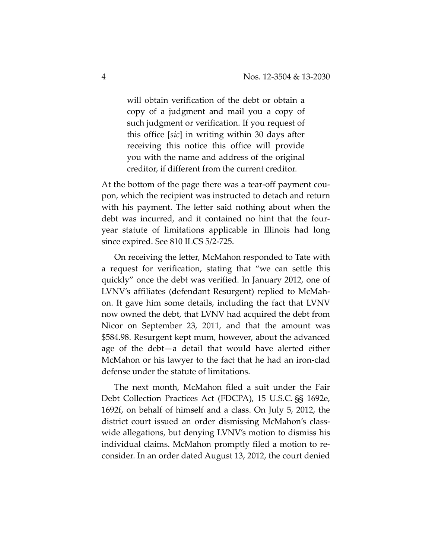will obtain verification of the debt or obtain a copy of a judgment and mail you a copy of such judgment or verification. If you request of this office [*sic*] in writing within 30 days after receiving this notice this office will provide you with the name and address of the original creditor, if different from the current creditor.

At the bottom of the page there was a tear‐off payment cou‐ pon, which the recipient was instructed to detach and return with his payment. The letter said nothing about when the debt was incurred, and it contained no hint that the four‐ year statute of limitations applicable in Illinois had long since expired. See 810 ILCS 5/2‐725.

On receiving the letter, McMahon responded to Tate with a request for verification, stating that "we can settle this quickly" once the debt was verified. In January 2012, one of LVNV's affiliates (defendant Resurgent) replied to McMah‐ on. It gave him some details, including the fact that LVNV now owned the debt, that LVNV had acquired the debt from Nicor on September 23, 2011, and that the amount was \$584.98. Resurgent kept mum, however, about the advanced age of the debt—a detail that would have alerted either McMahon or his lawyer to the fact that he had an iron‐clad defense under the statute of limitations.

The next month, McMahon filed a suit under the Fair Debt Collection Practices Act (FDCPA), 15 U.S.C. §§ 1692e, 1692f, on behalf of himself and a class. On July 5, 2012, the district court issued an order dismissing McMahon's class‐ wide allegations, but denying LVNV's motion to dismiss his individual claims. McMahon promptly filed a motion to re‐ consider. In an order dated August 13, 2012, the court denied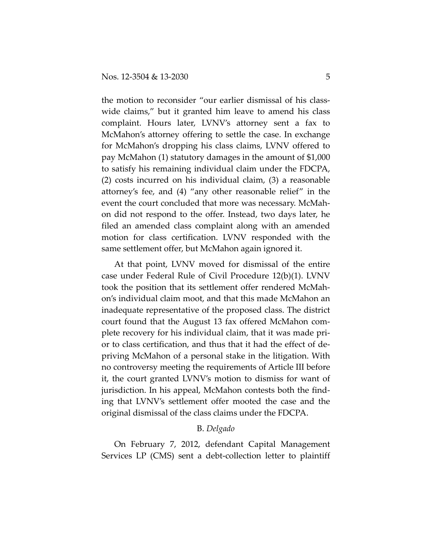the motion to reconsider "our earlier dismissal of his class‐ wide claims," but it granted him leave to amend his class complaint. Hours later, LVNV's attorney sent a fax to McMahon's attorney offering to settle the case. In exchange for McMahon's dropping his class claims, LVNV offered to pay McMahon (1) statutory damages in the amount of \$1,000 to satisfy his remaining individual claim under the FDCPA, (2) costs incurred on his individual claim, (3) a reasonable attorney's fee, and (4) "any other reasonable relief" in the event the court concluded that more was necessary. McMah‐ on did not respond to the offer. Instead, two days later, he filed an amended class complaint along with an amended motion for class certification. LVNV responded with the same settlement offer, but McMahon again ignored it.

At that point, LVNV moved for dismissal of the entire case under Federal Rule of Civil Procedure 12(b)(1). LVNV took the position that its settlement offer rendered McMah‐ on's individual claim moot, and that this made McMahon an inadequate representative of the proposed class. The district court found that the August 13 fax offered McMahon com‐ plete recovery for his individual claim, that it was made pri‐ or to class certification, and thus that it had the effect of de‐ priving McMahon of a personal stake in the litigation. With no controversy meeting the requirements of Article III before it, the court granted LVNV's motion to dismiss for want of jurisdiction. In his appeal, McMahon contests both the find‐ ing that LVNV's settlement offer mooted the case and the original dismissal of the class claims under the FDCPA.

#### B. *Delgado*

On February 7, 2012, defendant Capital Management Services LP (CMS) sent a debt-collection letter to plaintiff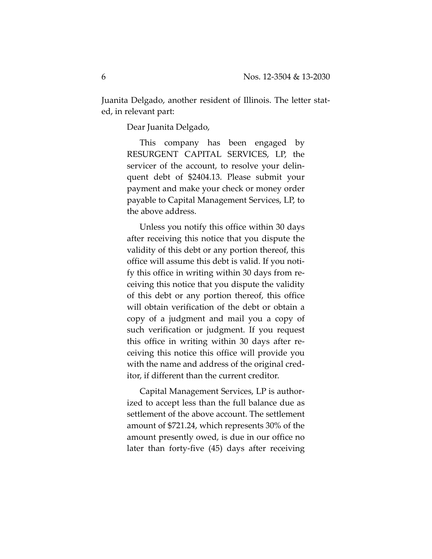Juanita Delgado, another resident of Illinois. The letter stat‐ ed, in relevant part:

Dear Juanita Delgado,

This company has been engaged by RESURGENT CAPITAL SERVICES, LP, the servicer of the account, to resolve your delin‐ quent debt of \$2404.13. Please submit your payment and make your check or money order payable to Capital Management Services, LP, to the above address.

Unless you notify this office within 30 days after receiving this notice that you dispute the validity of this debt or any portion thereof, this office will assume this debt is valid. If you noti‐ fy this office in writing within 30 days from re‐ ceiving this notice that you dispute the validity of this debt or any portion thereof, this office will obtain verification of the debt or obtain a copy of a judgment and mail you a copy of such verification or judgment. If you request this office in writing within 30 days after re‐ ceiving this notice this office will provide you with the name and address of the original creditor, if different than the current creditor.

Capital Management Services, LP is author‐ ized to accept less than the full balance due as settlement of the above account. The settlement amount of \$721.24, which represents 30% of the amount presently owed, is due in our office no later than forty‐five (45) days after receiving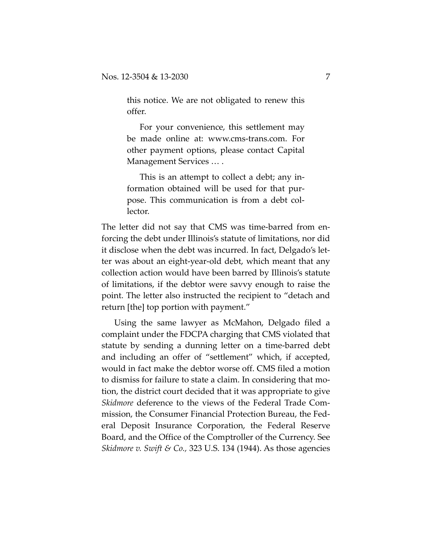this notice. We are not obligated to renew this offer.

For your convenience, this settlement may be made online at: www.cms‐trans.com. For other payment options, please contact Capital Management Services … .

This is an attempt to collect a debt; any in‐ formation obtained will be used for that pur‐ pose. This communication is from a debt col‐ lector.

The letter did not say that CMS was time‐barred from en‐ forcing the debt under Illinois's statute of limitations, nor did it disclose when the debt was incurred. In fact, Delgado's let‐ ter was about an eight‐year‐old debt, which meant that any collection action would have been barred by Illinois's statute of limitations, if the debtor were savvy enough to raise the point. The letter also instructed the recipient to "detach and return [the] top portion with payment."

Using the same lawyer as McMahon, Delgado filed a complaint under the FDCPA charging that CMS violated that statute by sending a dunning letter on a time‐barred debt and including an offer of "settlement" which, if accepted, would in fact make the debtor worse off. CMS filed a motion to dismiss for failure to state a claim. In considering that mo‐ tion, the district court decided that it was appropriate to give *Skidmore* deference to the views of the Federal Trade Com‐ mission, the Consumer Financial Protection Bureau, the Fed‐ eral Deposit Insurance Corporation, the Federal Reserve Board, and the Office of the Comptroller of the Currency. See *Skidmore v. Swift & Co.,* 323 U.S. 134 (1944). As those agencies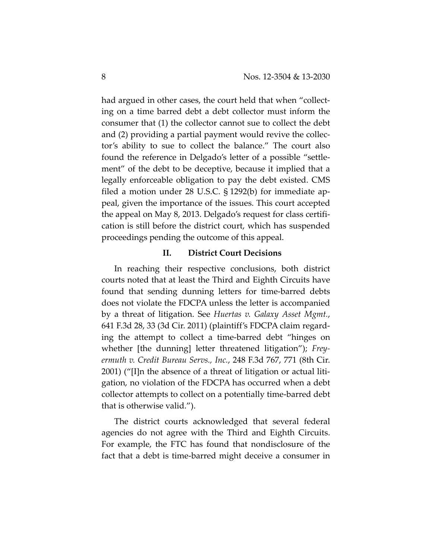had argued in other cases, the court held that when "collecting on a time barred debt a debt collector must inform the consumer that (1) the collector cannot sue to collect the debt and (2) providing a partial payment would revive the collec‐ tor's ability to sue to collect the balance." The court also found the reference in Delgado's letter of a possible "settle‐ ment" of the debt to be deceptive, because it implied that a legally enforceable obligation to pay the debt existed. CMS filed a motion under 28 U.S.C. § 1292(b) for immediate ap‐ peal, given the importance of the issues. This court accepted the appeal on May 8, 2013. Delgado's request for class certifi‐ cation is still before the district court, which has suspended proceedings pending the outcome of this appeal.

#### **II. District Court Decisions**

In reaching their respective conclusions, both district courts noted that at least the Third and Eighth Circuits have found that sending dunning letters for time-barred debts does not violate the FDCPA unless the letter is accompanied by a threat of litigation. See *Huertas v. Galaxy Asset Mgmt.*, 641 F.3d 28, 33 (3d Cir. 2011) (plaintiff's FDCPA claim regard‐ ing the attempt to collect a time‐barred debt "hinges on whether [the dunning] letter threatened litigation"); *Frey‐ ermuth v. Credit Bureau Servs., Inc.*, 248 F.3d 767, 771 (8th Cir. 2001) ("[I]n the absence of a threat of litigation or actual liti‐ gation, no violation of the FDCPA has occurred when a debt collector attempts to collect on a potentially time‐barred debt that is otherwise valid.").

The district courts acknowledged that several federal agencies do not agree with the Third and Eighth Circuits. For example, the FTC has found that nondisclosure of the fact that a debt is time‐barred might deceive a consumer in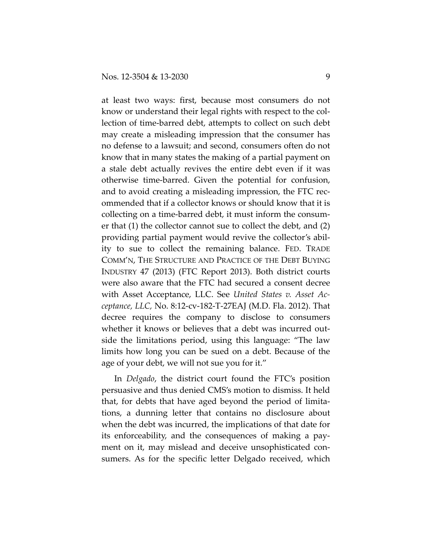at least two ways: first, because most consumers do not know or understand their legal rights with respect to the collection of time‐barred debt, attempts to collect on such debt may create a misleading impression that the consumer has no defense to a lawsuit; and second, consumers often do not know that in many states the making of a partial payment on a stale debt actually revives the entire debt even if it was otherwise time‐barred. Given the potential for confusion, and to avoid creating a misleading impression, the FTC rec‐ ommended that if a collector knows or should know that it is collecting on a time‐barred debt, it must inform the consum‐ er that (1) the collector cannot sue to collect the debt, and (2) providing partial payment would revive the collector's abil‐ ity to sue to collect the remaining balance. FED. TRADE COMM'N, THE STRUCTURE AND PRACTICE OF THE DEBT BUYING INDUSTRY 47 (2013) (FTC Report 2013). Both district courts were also aware that the FTC had secured a consent decree with Asset Acceptance, LLC. See *United States v. Asset Ac‐ ceptance, LLC,* No. 8:12‐cv‐182‐T‐27EAJ (M.D. Fla. 2012). That decree requires the company to disclose to consumers whether it knows or believes that a debt was incurred outside the limitations period, using this language: "The law limits how long you can be sued on a debt. Because of the age of your debt, we will not sue you for it."

In *Delgado*, the district court found the FTC's position persuasive and thus denied CMS's motion to dismiss. It held that, for debts that have aged beyond the period of limita‐ tions, a dunning letter that contains no disclosure about when the debt was incurred, the implications of that date for its enforceability, and the consequences of making a pay‐ ment on it, may mislead and deceive unsophisticated consumers. As for the specific letter Delgado received, which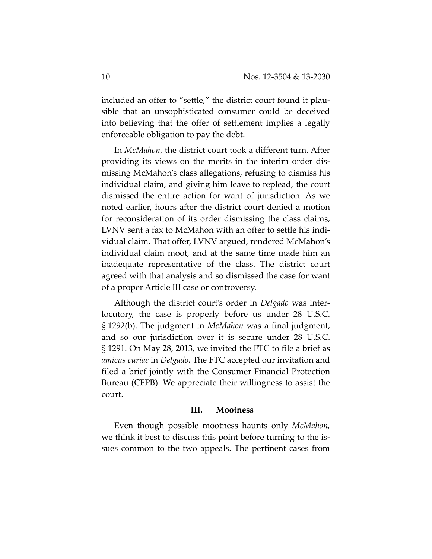included an offer to "settle," the district court found it plausible that an unsophisticated consumer could be deceived into believing that the offer of settlement implies a legally enforceable obligation to pay the debt.

In *McMahon*, the district court took a different turn. After providing its views on the merits in the interim order dis‐ missing McMahon's class allegations, refusing to dismiss his individual claim, and giving him leave to replead, the court dismissed the entire action for want of jurisdiction. As we noted earlier, hours after the district court denied a motion for reconsideration of its order dismissing the class claims, LVNV sent a fax to McMahon with an offer to settle his indi‐ vidual claim. That offer, LVNV argued, rendered McMahon's individual claim moot, and at the same time made him an inadequate representative of the class. The district court agreed with that analysis and so dismissed the case for want of a proper Article III case or controversy.

Although the district court's order in *Delgado* was inter‐ locutory, the case is properly before us under 28 U.S.C. § 1292(b). The judgment in *McMahon* was a final judgment, and so our jurisdiction over it is secure under 28 U.S.C. § 1291. On May 28, 2013, we invited the FTC to file a brief as *amicus curiae* in *Delgado*. The FTC accepted our invitation and filed a brief jointly with the Consumer Financial Protection Bureau (CFPB). We appreciate their willingness to assist the court.

#### **III. Mootness**

Even though possible mootness haunts only *McMahon,* we think it best to discuss this point before turning to the issues common to the two appeals. The pertinent cases from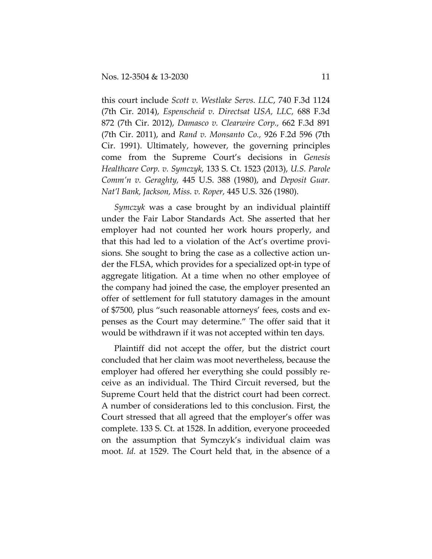this court include *Scott v. Westlake Servs. LLC*, 740 F.3d 1124 (7th Cir. 2014), *Espenscheid v. Directsat USA, LLC,* 688 F.3d 872 (7th Cir. 2012), *Damasco v. Clearwire Corp.,* 662 F.3d 891 (7th Cir. 2011), and *Rand v. Monsanto Co.,* 926 F.2d 596 (7th Cir. 1991). Ultimately, however, the governing principles come from the Supreme Court's decisions in *Genesis Healthcare Corp. v. Symczyk,* 133 S. Ct. 1523 (2013), *U.S. Parole Comm'n v. Geraghty,* 445 U.S. 388 (1980), and *Deposit Guar. Nat'l Bank, Jackson, Miss. v. Roper,* 445 U.S. 326 (1980).

*Symczyk* was a case brought by an individual plaintiff under the Fair Labor Standards Act. She asserted that her employer had not counted her work hours properly, and that this had led to a violation of the Act's overtime provi‐ sions. She sought to bring the case as a collective action un‐ der the FLSA, which provides for a specialized opt‐in type of aggregate litigation. At a time when no other employee of the company had joined the case, the employer presented an offer of settlement for full statutory damages in the amount of \$7500, plus "such reasonable attorneys' fees, costs and ex‐ penses as the Court may determine." The offer said that it would be withdrawn if it was not accepted within ten days.

Plaintiff did not accept the offer, but the district court concluded that her claim was moot nevertheless, because the employer had offered her everything she could possibly re‐ ceive as an individual. The Third Circuit reversed, but the Supreme Court held that the district court had been correct. A number of considerations led to this conclusion. First, the Court stressed that all agreed that the employer's offer was complete. 133 S. Ct. at 1528. In addition, everyone proceeded on the assumption that Symczyk's individual claim was moot. *Id.* at 1529. The Court held that, in the absence of a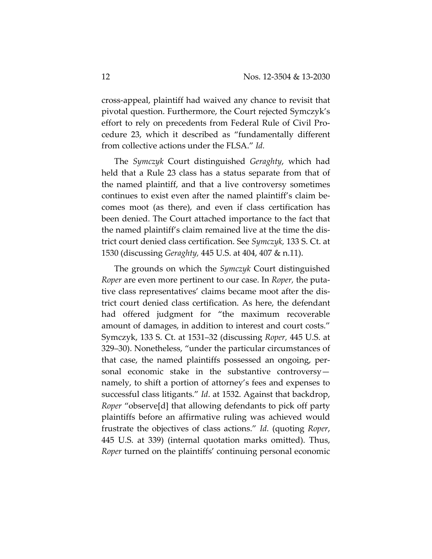cross‐appeal, plaintiff had waived any chance to revisit that pivotal question. Furthermore, the Court rejected Symczyk's effort to rely on precedents from Federal Rule of Civil Pro‐ cedure 23, which it described as "fundamentally different from collective actions under the FLSA." *Id.*

The *Symczyk* Court distinguished *Geraghty*, which had held that a Rule 23 class has a status separate from that of the named plaintiff, and that a live controversy sometimes continues to exist even after the named plaintiff's claim be‐ comes moot (as there), and even if class certification has been denied. The Court attached importance to the fact that the named plaintiff's claim remained live at the time the dis‐ trict court denied class certification. See *Symczyk,* 133 S. Ct. at 1530 (discussing *Geraghty,* 445 U.S. at 404, 407 & n.11).

The grounds on which the *Symczyk* Court distinguished *Roper* are even more pertinent to our case. In *Roper,* the puta‐ tive class representatives' claims became moot after the dis‐ trict court denied class certification. As here, the defendant had offered judgment for "the maximum recoverable amount of damages, in addition to interest and court costs." Symczyk, 133 S. Ct. at 1531–32 (discussing *Roper,* 445 U.S. at 329–30). Nonetheless, "under the particular circumstances of that case, the named plaintiffs possessed an ongoing, per‐ sonal economic stake in the substantive controversy namely, to shift a portion of attorney's fees and expenses to successful class litigants." *Id*. at 1532. Against that backdrop, *Roper* "observe[d] that allowing defendants to pick off party plaintiffs before an affirmative ruling was achieved would frustrate the objectives of class actions." *Id.* (quoting *Roper*, 445 U.S. at 339) (internal quotation marks omitted). Thus, *Roper* turned on the plaintiffs' continuing personal economic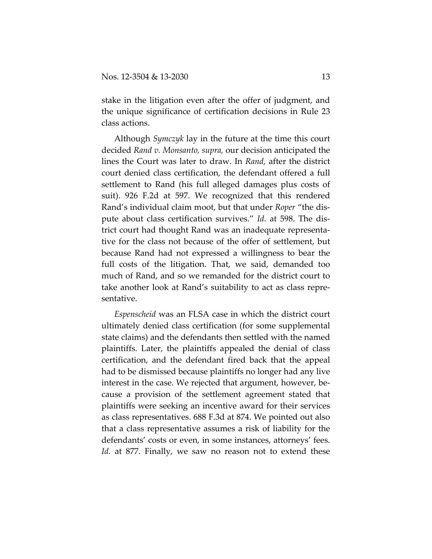stake in the litigation even after the offer of judgment, and the unique significance of certification decisions in Rule 23 class actions.

Although *Symczyk* lay in the future at the time this court decided *Rand v. Monsanto, supra,* our decision anticipated the lines the Court was later to draw. In *Rand,* after the district court denied class certification, the defendant offered a full settlement to Rand (his full alleged damages plus costs of suit). 926 F.2d at 597. We recognized that this rendered Rand's individual claim moot, but that under *Roper* "the dis‐ pute about class certification survives." *Id.* at 598. The dis‐ trict court had thought Rand was an inadequate representa‐ tive for the class not because of the offer of settlement, but because Rand had not expressed a willingness to bear the full costs of the litigation. That, we said, demanded too much of Rand, and so we remanded for the district court to take another look at Rand's suitability to act as class repre‐ sentative.

*Espenscheid* was an FLSA case in which the district court ultimately denied class certification (for some supplemental state claims) and the defendants then settled with the named plaintiffs. Later, the plaintiffs appealed the denial of class certification, and the defendant fired back that the appeal had to be dismissed because plaintiffs no longer had any live interest in the case. We rejected that argument, however, be‐ cause a provision of the settlement agreement stated that plaintiffs were seeking an incentive award for their services as class representatives. 688 F.3d at 874. We pointed out also that a class representative assumes a risk of liability for the defendants' costs or even, in some instances, attorneys' fees. *Id.* at 877. Finally, we saw no reason not to extend these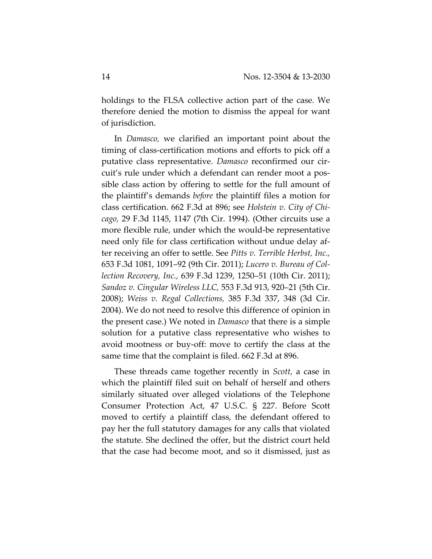holdings to the FLSA collective action part of the case. We therefore denied the motion to dismiss the appeal for want of jurisdiction.

In *Damasco,* we clarified an important point about the timing of class‐certification motions and efforts to pick off a putative class representative. *Damasco* reconfirmed our cir‐ cuit's rule under which a defendant can render moot a pos‐ sible class action by offering to settle for the full amount of the plaintiff's demands *before* the plaintiff files a motion for class certification. 662 F.3d at 896; see *Holstein v. City of Chi‐ cago,* 29 F.3d 1145, 1147 (7th Cir. 1994). (Other circuits use a more flexible rule, under which the would‐be representative need only file for class certification without undue delay after receiving an offer to settle. See *Pitts v. Terrible Herbst, Inc.,* 653 F.3d 1081, 1091–92 (9th Cir. 2011); *Lucero v. Bureau of Col‐ lection Recovery, Inc.,* 639 F.3d 1239, 1250–51 (10th Cir. 2011); *Sandoz v. Cingular Wireless LLC,* 553 F.3d 913, 920–21 (5th Cir. 2008); *Weiss v. Regal Collections,* 385 F.3d 337, 348 (3d Cir. 2004). We do not need to resolve this difference of opinion in the present case.) We noted in *Damasco* that there is a simple solution for a putative class representative who wishes to avoid mootness or buy‐off: move to certify the class at the same time that the complaint is filed. 662 F.3d at 896.

These threads came together recently in *Scott,* a case in which the plaintiff filed suit on behalf of herself and others similarly situated over alleged violations of the Telephone Consumer Protection Act, 47 U.S.C. § 227. Before Scott moved to certify a plaintiff class, the defendant offered to pay her the full statutory damages for any calls that violated the statute. She declined the offer, but the district court held that the case had become moot, and so it dismissed, just as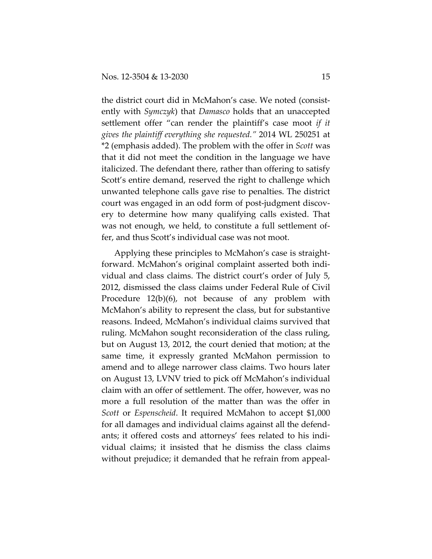the district court did in McMahon's case. We noted (consist‐ ently with *Symczyk*) that *Damasco* holds that an unaccepted settlement offer "can render the plaintiff's case moot *if it gives the plaintiff everything she requested."* 2014 WL 250251 at \*2 (emphasis added). The problem with the offer in *Scott* was that it did not meet the condition in the language we have italicized. The defendant there, rather than offering to satisfy Scott's entire demand, reserved the right to challenge which unwanted telephone calls gave rise to penalties. The district court was engaged in an odd form of post‐judgment discov‐ ery to determine how many qualifying calls existed. That was not enough, we held, to constitute a full settlement of‐ fer, and thus Scott's individual case was not moot.

Applying these principles to McMahon's case is straight‐ forward. McMahon's original complaint asserted both indi‐ vidual and class claims. The district court's order of July 5, 2012, dismissed the class claims under Federal Rule of Civil Procedure 12(b)(6), not because of any problem with McMahon's ability to represent the class, but for substantive reasons. Indeed, McMahon's individual claims survived that ruling. McMahon sought reconsideration of the class ruling, but on August 13, 2012, the court denied that motion; at the same time, it expressly granted McMahon permission to amend and to allege narrower class claims. Two hours later on August 13, LVNV tried to pick off McMahon's individual claim with an offer of settlement. The offer, however, was no more a full resolution of the matter than was the offer in *Scott* or *Espenscheid*. It required McMahon to accept \$1,000 for all damages and individual claims against all the defend‐ ants; it offered costs and attorneys' fees related to his indi‐ vidual claims; it insisted that he dismiss the class claims without prejudice; it demanded that he refrain from appeal‐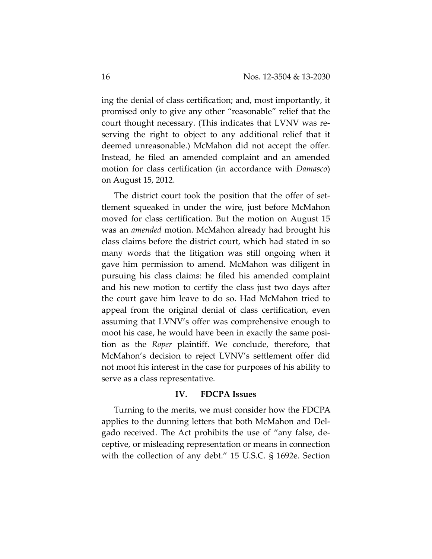ing the denial of class certification; and, most importantly, it promised only to give any other "reasonable" relief that the court thought necessary. (This indicates that LVNV was re‐ serving the right to object to any additional relief that it deemed unreasonable.) McMahon did not accept the offer. Instead, he filed an amended complaint and an amended motion for class certification (in accordance with *Damasco*) on August 15, 2012.

The district court took the position that the offer of set‐ tlement squeaked in under the wire, just before McMahon moved for class certification. But the motion on August 15 was an *amended* motion. McMahon already had brought his class claims before the district court, which had stated in so many words that the litigation was still ongoing when it gave him permission to amend. McMahon was diligent in pursuing his class claims: he filed his amended complaint and his new motion to certify the class just two days after the court gave him leave to do so. Had McMahon tried to appeal from the original denial of class certification, even assuming that LVNV's offer was comprehensive enough to moot his case, he would have been in exactly the same position as the *Roper* plaintiff. We conclude, therefore, that McMahon's decision to reject LVNV's settlement offer did not moot his interest in the case for purposes of his ability to serve as a class representative.

#### **IV. FDCPA Issues**

Turning to the merits, we must consider how the FDCPA applies to the dunning letters that both McMahon and Del‐ gado received. The Act prohibits the use of "any false, de‐ ceptive, or misleading representation or means in connection with the collection of any debt." 15 U.S.C. § 1692e. Section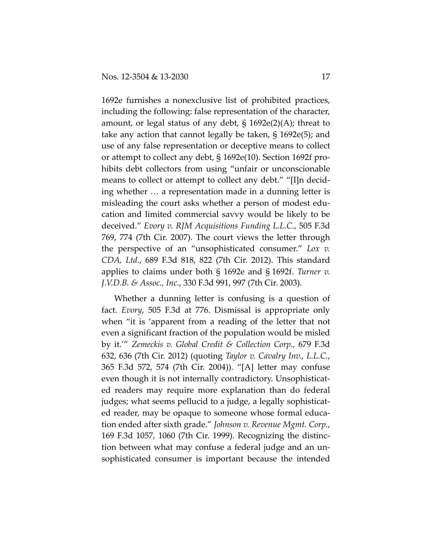1692e furnishes a nonexclusive list of prohibited practices, including the following: false representation of the character, amount, or legal status of any debt, § 1692e(2)(A); threat to take any action that cannot legally be taken, § 1692e(5); and use of any false representation or deceptive means to collect or attempt to collect any debt, § 1692e(10). Section 1692f pro‐ hibits debt collectors from using "unfair or unconscionable means to collect or attempt to collect any debt." "[I]n decid‐ ing whether … a representation made in a dunning letter is misleading the court asks whether a person of modest edu‐ cation and limited commercial savvy would be likely to be deceived." *Evory v. RJM Acquisitions Funding L.L.C.*, 505 F.3d 769, 774 (7th Cir. 2007). The court views the letter through the perspective of an "unsophisticated consumer." *Lox v. CDA, Ltd.*, 689 F.3d 818, 822 (7th Cir. 2012). This standard applies to claims under both § 1692e and § 1692f. *Turner v. J.V.D.B. & Assoc., Inc.*, 330 F.3d 991, 997 (7th Cir. 2003).

Whether a dunning letter is confusing is a question of fact. *Evory*, 505 F.3d at 776. Dismissal is appropriate only when "it is 'apparent from a reading of the letter that not even a significant fraction of the population would be misled by it.'" *Zemeckis v. Global Credit & Collection Corp.*, 679 F.3d 632, 636 (7th Cir. 2012) (quoting *Taylor v. Cavalry Inv., L.L.C.*, 365 F.3d 572, 574 (7th Cir. 2004)). "[A] letter may confuse even though it is not internally contradictory. Unsophisticat‐ ed readers may require more explanation than do federal judges; what seems pellucid to a judge, a legally sophisticat‐ ed reader, may be opaque to someone whose formal educa‐ tion ended after sixth grade." *Johnson v. Revenue Mgmt. Corp.*, 169 F.3d 1057, 1060 (7th Cir. 1999). Recognizing the distinc‐ tion between what may confuse a federal judge and an un‐ sophisticated consumer is important because the intended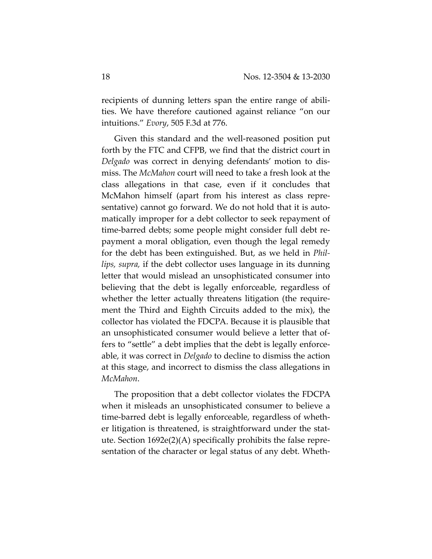recipients of dunning letters span the entire range of abilities. We have therefore cautioned against reliance "on our intuitions." *Evory*, 505 F.3d at 776.

Given this standard and the well-reasoned position put forth by the FTC and CFPB, we find that the district court in *Delgado* was correct in denying defendants' motion to dis‐ miss. The *McMahon* court will need to take a fresh look at the class allegations in that case, even if it concludes that McMahon himself (apart from his interest as class repre‐ sentative) cannot go forward. We do not hold that it is auto‐ matically improper for a debt collector to seek repayment of time‐barred debts; some people might consider full debt re‐ payment a moral obligation, even though the legal remedy for the debt has been extinguished. But, as we held in *Phil‐ lips, supra,* if the debt collector uses language in its dunning letter that would mislead an unsophisticated consumer into believing that the debt is legally enforceable, regardless of whether the letter actually threatens litigation (the requirement the Third and Eighth Circuits added to the mix), the collector has violated the FDCPA. Because it is plausible that an unsophisticated consumer would believe a letter that of‐ fers to "settle" a debt implies that the debt is legally enforce‐ able, it was correct in *Delgado* to decline to dismiss the action at this stage, and incorrect to dismiss the class allegations in *McMahon*.

The proposition that a debt collector violates the FDCPA when it misleads an unsophisticated consumer to believe a time‐barred debt is legally enforceable, regardless of wheth‐ er litigation is threatened, is straightforward under the stat‐ ute. Section  $1692e(2)$ (A) specifically prohibits the false representation of the character or legal status of any debt. Wheth‐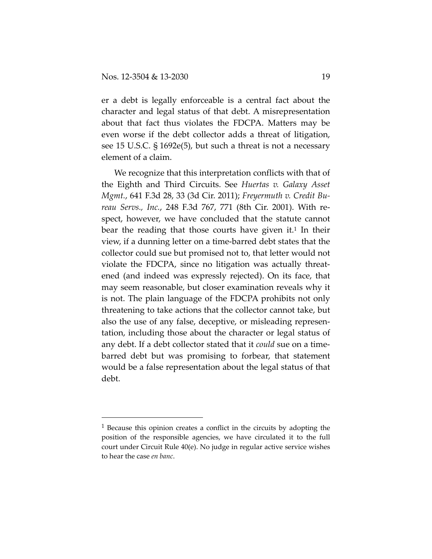er a debt is legally enforceable is a central fact about the character and legal status of that debt. A misrepresentation about that fact thus violates the FDCPA. Matters may be even worse if the debt collector adds a threat of litigation, see 15 U.S.C. § 1692e(5), but such a threat is not a necessary element of a claim.

We recognize that this interpretation conflicts with that of the Eighth and Third Circuits. See *Huertas v. Galaxy Asset Mgmt.*, 641 F.3d 28, 33 (3d Cir. 2011); *Freyermuth v. Credit Bu‐ reau Servs., Inc.*, 248 F.3d 767, 771 (8th Cir. 2001). With re‐ spect, however, we have concluded that the statute cannot bear the reading that those courts have given it.<sup>1</sup> In their view, if a dunning letter on a time‐barred debt states that the collector could sue but promised not to, that letter would not violate the FDCPA, since no litigation was actually threat‐ ened (and indeed was expressly rejected). On its face, that may seem reasonable, but closer examination reveals why it is not. The plain language of the FDCPA prohibits not only threatening to take actions that the collector cannot take, but also the use of any false, deceptive, or misleading represen‐ tation, including those about the character or legal status of any debt. If a debt collector stated that it *could* sue on a time‐ barred debt but was promising to forbear, that statement would be a false representation about the legal status of that debt.

<sup>1</sup> Because this opinion creates a conflict in the circuits by adopting the position of the responsible agencies, we have circulated it to the full court under Circuit Rule 40(e). No judge in regular active service wishes to hear the case *en banc*.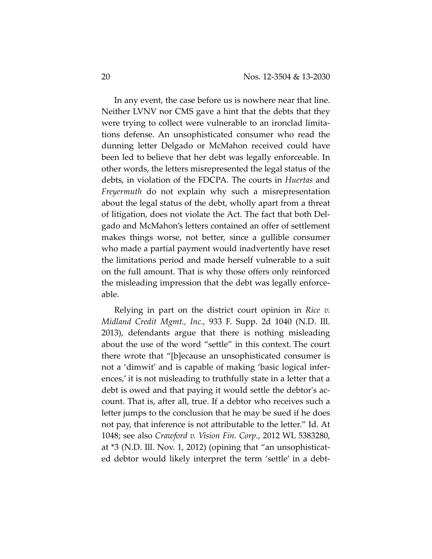In any event, the case before us is nowhere near that line. Neither LVNV nor CMS gave a hint that the debts that they were trying to collect were vulnerable to an ironclad limitations defense. An unsophisticated consumer who read the dunning letter Delgado or McMahon received could have been led to believe that her debt was legally enforceable. In other words, the letters misrepresented the legal status of the debts, in violation of the FDCPA. The courts in *Huertas* and *Freyermuth* do not explain why such a misrepresentation about the legal status of the debt, wholly apart from a threat of litigation, does not violate the Act. The fact that both Del‐ gado and McMahon's letters contained an offer of settlement makes things worse, not better, since a gullible consumer who made a partial payment would inadvertently have reset the limitations period and made herself vulnerable to a suit on the full amount. That is why those offers only reinforced the misleading impression that the debt was legally enforce‐ able.

Relying in part on the district court opinion in *Rice v. Midland Credit Mgmt., Inc.,* 933 F. Supp. 2d 1040 (N.D. Ill. 2013), defendants argue that there is nothing misleading about the use of the word "settle" in this context. The court there wrote that "[b]ecause an unsophisticated consumer is not a 'dimwit' and is capable of making 'basic logical infer‐ ences,' it is not misleading to truthfully state in a letter that a debt is owed and that paying it would settle the debtor's account. That is, after all, true. If a debtor who receives such a letter jumps to the conclusion that he may be sued if he does not pay, that inference is not attributable to the letter." Id. At 1048; see also *Crawford v. Vision Fin. Corp.*, 2012 WL 5383280, at \*3 (N.D. Ill. Nov. 1, 2012) (opining that "an unsophisticat‐ ed debtor would likely interpret the term 'settle' in a debt‐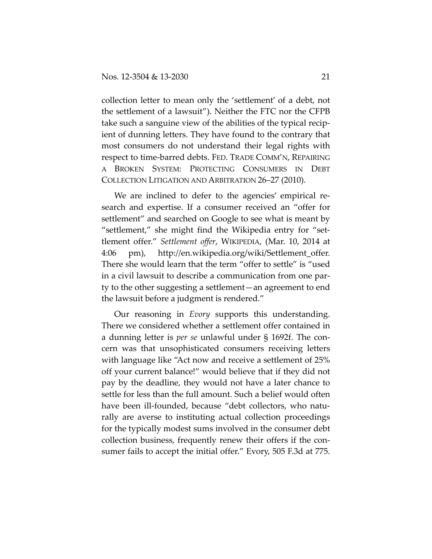collection letter to mean only the 'settlement' of a debt, not the settlement of a lawsuit"). Neither the FTC nor the CFPB take such a sanguine view of the abilities of the typical recip‐ ient of dunning letters. They have found to the contrary that most consumers do not understand their legal rights with respect to time‐barred debts. FED. TRADE COMM'N, REPAIRING A BROKEN SYSTEM: PROTECTING CONSUMERS IN DEBT COLLECTION LITIGATION AND ARBITRATION 26–27 (2010).

We are inclined to defer to the agencies' empirical research and expertise. If a consumer received an "offer for settlement" and searched on Google to see what is meant by "settlement," she might find the Wikipedia entry for "set‐ tlement offer." *Settlement offer*, WIKIPEDIA, (Mar. 10, 2014 at 4:06 pm), http://en.wikipedia.org/wiki/Settlement\_offer. There she would learn that the term "offer to settle" is "used in a civil lawsuit to describe a communication from one par‐ ty to the other suggesting a settlement—an agreement to end the lawsuit before a judgment is rendered."

Our reasoning in *Evory* supports this understanding. There we considered whether a settlement offer contained in a dunning letter is *per se* unlawful under § 1692f. The con‐ cern was that unsophisticated consumers receiving letters with language like "Act now and receive a settlement of 25% off your current balance!" would believe that if they did not pay by the deadline, they would not have a later chance to settle for less than the full amount. Such a belief would often have been ill-founded, because "debt collectors, who naturally are averse to instituting actual collection proceedings for the typically modest sums involved in the consumer debt collection business, frequently renew their offers if the consumer fails to accept the initial offer." Evory, 505 F.3d at 775.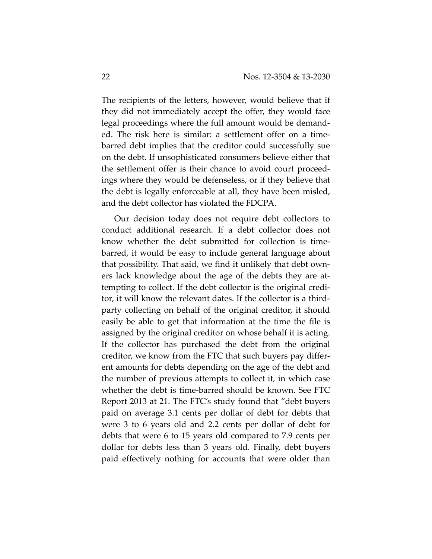The recipients of the letters, however, would believe that if they did not immediately accept the offer, they would face legal proceedings where the full amount would be demand‐ ed. The risk here is similar: a settlement offer on a time‐ barred debt implies that the creditor could successfully sue on the debt. If unsophisticated consumers believe either that the settlement offer is their chance to avoid court proceed‐ ings where they would be defenseless, or if they believe that the debt is legally enforceable at all, they have been misled, and the debt collector has violated the FDCPA.

Our decision today does not require debt collectors to conduct additional research. If a debt collector does not know whether the debt submitted for collection is timebarred, it would be easy to include general language about that possibility. That said, we find it unlikely that debt own‐ ers lack knowledge about the age of the debts they are at‐ tempting to collect. If the debt collector is the original credi‐ tor, it will know the relevant dates. If the collector is a third‐ party collecting on behalf of the original creditor, it should easily be able to get that information at the time the file is assigned by the original creditor on whose behalf it is acting. If the collector has purchased the debt from the original creditor, we know from the FTC that such buyers pay differ‐ ent amounts for debts depending on the age of the debt and the number of previous attempts to collect it, in which case whether the debt is time‐barred should be known. See FTC Report 2013 at 21. The FTC's study found that "debt buyers paid on average 3.1 cents per dollar of debt for debts that were 3 to 6 years old and 2.2 cents per dollar of debt for debts that were 6 to 15 years old compared to 7.9 cents per dollar for debts less than 3 years old. Finally, debt buyers paid effectively nothing for accounts that were older than